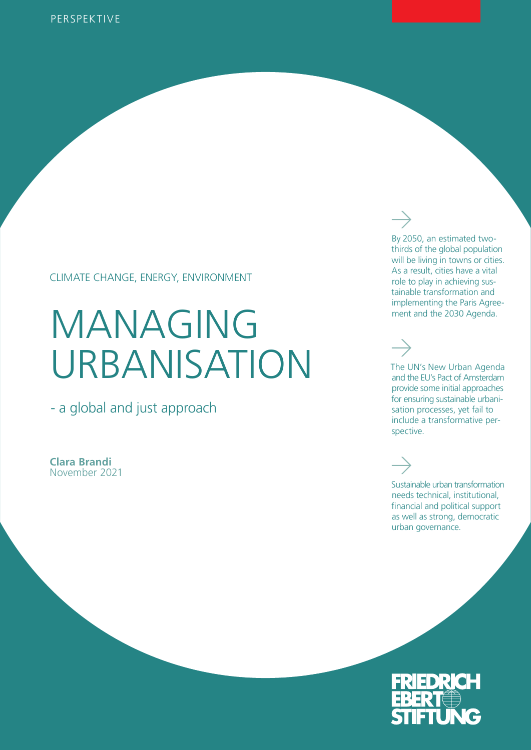#### CLIMATE CHANGE, ENERGY, ENVIRONMENT

# MANAGING URBANISATION

- a global and just approach

**Clara Brandi**  November 2021

By 2050, an estimated twothirds of the global population will be living in towns or cities. As a result, cities have a vital role to play in achieving sustainable transformation and implementing the Paris Agreement and the 2030 Agenda.

# The UN's New Urban Agenda

and the EU's Pact of Amsterdam provide some initial approaches for ensuring sustainable urbanisation processes, yet fail to include a transformative perspective.

Sustainable urban transformation needs technical, institutional, financial and political support as well as strong, democratic urban governance.

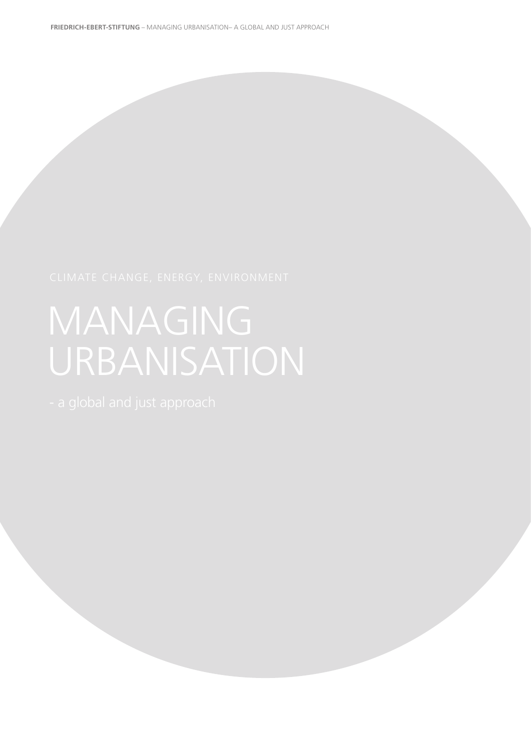# MANAGING URBANISATION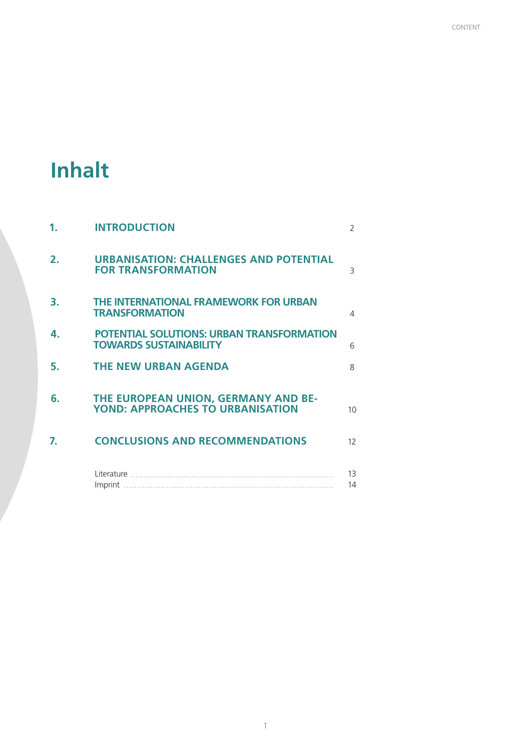# **Inhalt**

| 1.             | <b>INTRODUCTION</b>                                                               | 2               |
|----------------|-----------------------------------------------------------------------------------|-----------------|
| $\mathbf{2}$ . | <b>URBANISATION: CHALLENGES AND POTENTIAL</b><br><b>FOR TRANSFORMATION</b>        | 3               |
| З.             | THE INTERNATIONAL FRAMEWORK FOR URBAN<br><b>TRANSFORMATION</b>                    | 4               |
| 4.             | <b>POTENTIAL SOLUTIONS: URBAN TRANSFORMATION</b><br><b>TOWARDS SUSTAINABILITY</b> | 6               |
| 5.             | <b>THE NEW URBAN AGENDA</b>                                                       | $\mathsf{R}$    |
| რ.             | THE EUROPEAN UNION, GERMANY AND BE-<br><b>YOND: APPROACHES TO URBANISATION</b>    | 10 <sup>1</sup> |
| 7.             | <b>CONCLUSIONS AND RECOMMENDATIONS</b>                                            | 12              |
|                |                                                                                   | 13<br>14        |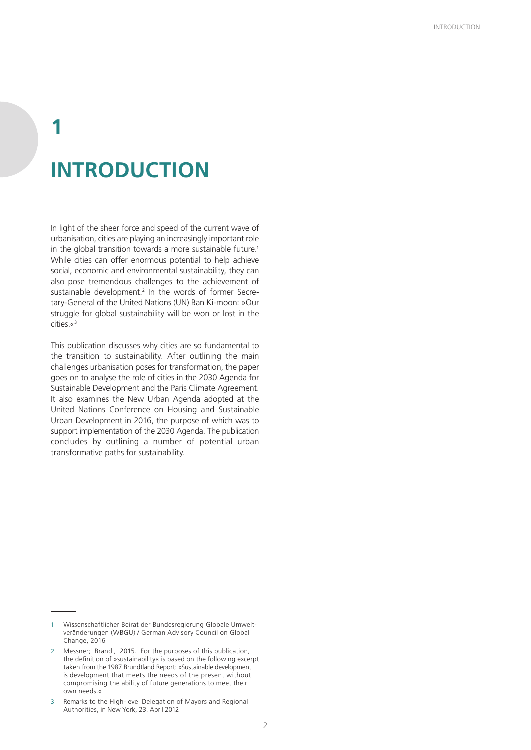# **1 INTRODUCTION**

In light of the sheer force and speed of the current wave of urbanisation, cities are playing an increasingly important role in the global transition towards a more sustainable future.<sup>1</sup> While cities can offer enormous potential to help achieve social, economic and environmental sustainability, they can also pose tremendous challenges to the achievement of sustainable development.<sup>2</sup> In the words of former Secretary-General of the United Nations (UN) Ban Ki-moon: »Our struggle for global sustainability will be won or lost in the cities.«<sup>3</sup>

This publication discusses why cities are so fundamental to the transition to sustainability. After outlining the main challenges urbanisation poses for transformation, the paper goes on to analyse the role of cities in the 2030 Agenda for Sustainable Development and the Paris Climate Agreement. It also examines the New Urban Agenda adopted at the United Nations Conference on Housing and Sustainable Urban Development in 2016, the purpose of which was to support implementation of the 2030 Agenda. The publication concludes by outlining a number of potential urban transformative paths for sustainability.

<sup>1</sup> Wissenschaftlicher Beirat der Bundesregierung Globale Umweltveränderungen (WBGU) / German Advisory Council on Global Change, 2016

<sup>2</sup> Messner; Brandi, 2015. For the purposes of this publication, the definition of »sustainability« is based on the following excerpt taken from the 1987 Brundtland Report: »Sustainable development is development that meets the needs of the present without compromising the ability of future generations to meet their own needs.«

<sup>3</sup> Remarks to the High-level Delegation of Mayors and Regional Authorities, in New York, 23. April 2012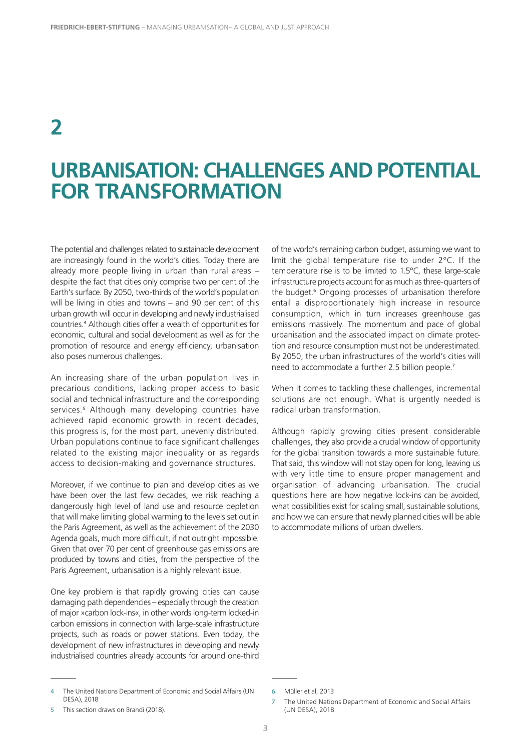# **URBANISATION: CHALLENGES AND POTENTIAL FOR TRANSFORMATION**

The potential and challenges related to sustainable development are increasingly found in the world's cities. Today there are already more people living in urban than rural areas – despite the fact that cities only comprise two per cent of the Earth's surface. By 2050, two-thirds of the world's population will be living in cities and towns – and 90 per cent of this urban growth will occur in developing and newly industrialised countries.<sup>4</sup> Although cities offer a wealth of opportunities for economic, cultural and social development as well as for the promotion of resource and energy efficiency, urbanisation also poses numerous challenges.

An increasing share of the urban population lives in precarious conditions, lacking proper access to basic social and technical infrastructure and the corresponding services.<sup>5</sup> Although many developing countries have achieved rapid economic growth in recent decades, this progress is, for the most part, unevenly distributed. Urban populations continue to face significant challenges related to the existing major inequality or as regards access to decision-making and governance structures.

Moreover, if we continue to plan and develop cities as we have been over the last few decades, we risk reaching a dangerously high level of land use and resource depletion that will make limiting global warming to the levels set out in the Paris Agreement, as well as the achievement of the 2030 Agenda goals, much more difficult, if not outright impossible. Given that over 70 per cent of greenhouse gas emissions are produced by towns and cities, from the perspective of the Paris Agreement, urbanisation is a highly relevant issue.

One key problem is that rapidly growing cities can cause damaging path dependencies – especially through the creation of major »carbon lock-ins«, in other words long-term locked-in carbon emissions in connection with large-scale infrastructure projects, such as roads or power stations. Even today, the development of new infrastructures in developing and newly industrialised countries already accounts for around one-third

4 The United Nations Department of Economic and Social Affairs (UN DESA), 2018

When it comes to tackling these challenges, incremental solutions are not enough. What is urgently needed is radical urban transformation.

Although rapidly growing cities present considerable challenges, they also provide a crucial window of opportunity for the global transition towards a more sustainable future. That said, this window will not stay open for long, leaving us with very little time to ensure proper management and organisation of advancing urbanisation. The crucial questions here are how negative lock-ins can be avoided, what possibilities exist for scaling small, sustainable solutions, and how we can ensure that newly planned cities will be able to accommodate millions of urban dwellers.

of the world's remaining carbon budget, assuming we want to limit the global temperature rise to under 2°C. If the temperature rise is to be limited to 1.5°C, these large-scale infrastructure projects account for as much as three-quarters of the budget.<sup>6</sup> Ongoing processes of urbanisation therefore entail a disproportionately high increase in resource consumption, which in turn increases greenhouse gas emissions massively. The momentum and pace of global urbanisation and the associated impact on climate protection and resource consumption must not be underestimated. By 2050, the urban infrastructures of the world's cities will need to accommodate a further 2.5 billion people.<sup>7</sup>

<sup>6</sup> Müller et al, 2013

<sup>5</sup> This section draws on Brandi (2018).

The United Nations Department of Economic and Social Affairs (UN DESA), 2018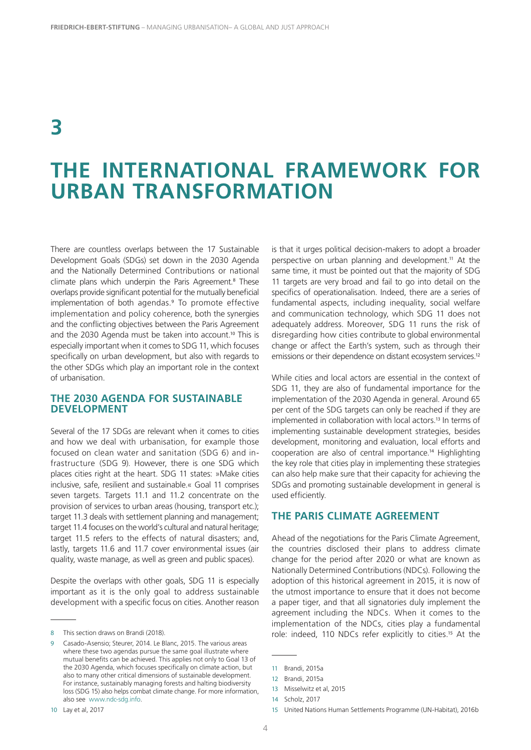# **THE INTERNATIONAL FRAMEWORK FOR URBAN TRANSFORMATION**

There are countless overlaps between the 17 Sustainable Development Goals (SDGs) set down in the 2030 Agenda and the Nationally Determined Contributions or national climate plans which underpin the Paris Agreement.<sup>8</sup> These overlaps provide significant potential for the mutually beneficial implementation of both agendas.<sup>9</sup> To promote effective implementation and policy coherence, both the synergies and the conflicting objectives between the Paris Agreement and the 2030 Agenda must be taken into account.<sup>10</sup> This is especially important when it comes to SDG 11, which focuses specifically on urban development, but also with regards to the other SDGs which play an important role in the context of urbanisation.

#### **THE 2030 AGENDA FOR SUSTAINABLE DEVELOPMENT**

Several of the 17 SDGs are relevant when it comes to cities and how we deal with urbanisation, for example those focused on clean water and sanitation (SDG 6) and infrastructure (SDG 9). However, there is one SDG which places cities right at the heart. SDG 11 states: »Make cities inclusive, safe, resilient and sustainable.« Goal 11 comprises seven targets. Targets 11.1 and 11.2 concentrate on the provision of services to urban areas (housing, transport etc.); target 11.3 deals with settlement planning and management; target 11.4 focuses on the world's cultural and natural heritage; target 11.5 refers to the effects of natural disasters; and, lastly, targets 11.6 and 11.7 cover environmental issues (air quality, waste manage, as well as green and public spaces).

Despite the overlaps with other goals, SDG 11 is especially important as it is the only goal to address sustainable development with a specific focus on cities. Another reason

is that it urges political decision-makers to adopt a broader perspective on urban planning and development.<sup>11</sup> At the same time, it must be pointed out that the majority of SDG 11 targets are very broad and fail to go into detail on the specifics of operationalisation. Indeed, there are a series of fundamental aspects, including inequality, social welfare and communication technology, which SDG 11 does not adequately address. Moreover, SDG 11 runs the risk of disregarding how cities contribute to global environmental change or affect the Earth's system, such as through their emissions or their dependence on distant ecosystem services.<sup>12</sup>

While cities and local actors are essential in the context of SDG 11, they are also of fundamental importance for the implementation of the 2030 Agenda in general. Around 65 per cent of the SDG targets can only be reached if they are implemented in collaboration with local actors.<sup>13</sup> In terms of implementing sustainable development strategies, besides development, monitoring and evaluation, local efforts and cooperation are also of central importance.<sup>14</sup> Highlighting the key role that cities play in implementing these strategies can also help make sure that their capacity for achieving the SDGs and promoting sustainable development in general is used efficiently.

#### **THE PARIS CLIMATE AGREEMENT**

Ahead of the negotiations for the Paris Climate Agreement, the countries disclosed their plans to address climate change for the period after 2020 or what are known as Nationally Determined Contributions (NDCs). Following the adoption of this historical agreement in 2015, it is now of the utmost importance to ensure that it does not become a paper tiger, and that all signatories duly implement the agreement including the NDCs. When it comes to the implementation of the NDCs, cities play a fundamental role: indeed, 110 NDCs refer explicitly to cities.<sup>15</sup> At the

<sup>8</sup> This section draws on Brandi (2018).

Casado-Asensio; Steurer, 2014. Le Blanc, 2015. The various areas where these two agendas pursue the same goal illustrate where mutual benefits can be achieved. This applies not only to Goal 13 of the 2030 Agenda, which focuses specifically on climate action, but also to many other critical dimensions of sustainable development. For instance, sustainably managing forests and halting biodiversity loss (SDG 15) also helps combat climate change. For more information, also see www.ndc-sdg.info.

<sup>11</sup> Brandi, 2015a

<sup>12</sup> Brandi, 2015a

<sup>13</sup> Misselwitz et al, 2015

<sup>14</sup> Scholz, 2017

<sup>15</sup> United Nations Human Settlements Programme (UN-Habitat), 2016b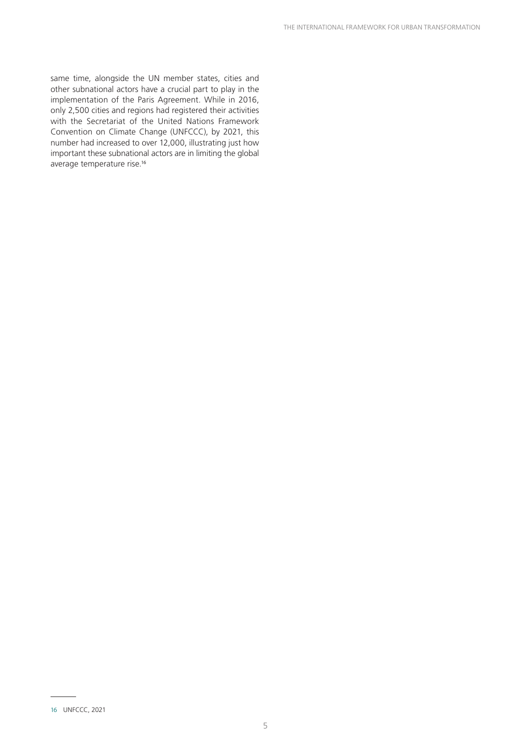same time, alongside the UN member states, cities and other subnational actors have a crucial part to play in the implementation of the Paris Agreement. While in 2016, only 2,500 cities and regions had registered their activities with the Secretariat of the United Nations Framework Convention on Climate Change (UNFCCC), by 2021, this number had increased to over 12,000, illustrating just how important these subnational actors are in limiting the global average temperature rise.<sup>16</sup>

<sup>16</sup> UNFCCC, 2021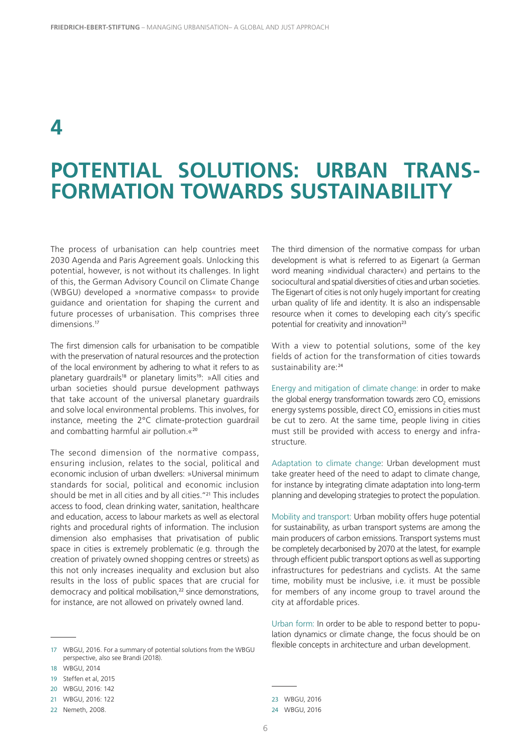# **POTENTIAL SOLUTIONS: URBAN TRANS-FORMATION TOWARDS SUSTAINABILITY**

The process of urbanisation can help countries meet 2030 Agenda and Paris Agreement goals. Unlocking this potential, however, is not without its challenges. In light of this, the German Advisory Council on Climate Change (WBGU) developed a »normative compass« to provide guidance and orientation for shaping the current and future processes of urbanisation. This comprises three dimensions.<sup>17</sup>

The first dimension calls for urbanisation to be compatible with the preservation of natural resources and the protection of the local environment by adhering to what it refers to as planetary quardrails<sup>18</sup> or planetary limits<sup>19</sup>: »All cities and urban societies should pursue development pathways that take account of the universal planetary guardrails and solve local environmental problems. This involves, for instance, meeting the 2°C climate-protection guardrail and combatting harmful air pollution.«<sup>20</sup>

The second dimension of the normative compass, ensuring inclusion, relates to the social, political and economic inclusion of urban dwellers: »Universal minimum standards for social, political and economic inclusion should be met in all cities and by all cities."<sup>21</sup> This includes access to food, clean drinking water, sanitation, healthcare and education, access to labour markets as well as electoral rights and procedural rights of information. The inclusion dimension also emphasises that privatisation of public space in cities is extremely problematic (e.g. through the creation of privately owned shopping centres or streets) as this not only increases inequality and exclusion but also results in the loss of public spaces that are crucial for democracy and political mobilisation.<sup>22</sup> since demonstrations, for instance, are not allowed on privately owned land.

The third dimension of the normative compass for urban development is what is referred to as Eigenart (a German word meaning »individual character«) and pertains to the sociocultural and spatial diversities of cities and urban societies. The Eigenart of cities is not only hugely important for creating urban quality of life and identity. It is also an indispensable resource when it comes to developing each city's specific potential for creativity and innovation<sup>23</sup>

With a view to potential solutions, some of the key fields of action for the transformation of cities towards sustainability are:<sup>24</sup>

Energy and mitigation of climate change: in order to make the global energy transformation towards zero  $\mathrm{CO}_2$  emissions energy systems possible, direct  $\mathsf{CO}_2$  emissions in cities must be cut to zero. At the same time, people living in cities must still be provided with access to energy and infrastructure.

Adaptation to climate change: Urban development must take greater heed of the need to adapt to climate change, for instance by integrating climate adaptation into long-term planning and developing strategies to protect the population.

Mobility and transport: Urban mobility offers huge potential for sustainability, as urban transport systems are among the main producers of carbon emissions. Transport systems must be completely decarbonised by 2070 at the latest, for example through efficient public transport options as well as supporting infrastructures for pedestrians and cyclists. At the same time, mobility must be inclusive, i.e. it must be possible for members of any income group to travel around the city at affordable prices.

Urban form: In order to be able to respond better to population dynamics or climate change, the focus should be on flexible concepts in architecture and urban development.

<sup>17</sup> WBGU, 2016. For a summary of potential solutions from the WBGU perspective, also see Brandi (2018).

<sup>18</sup> WBGU, 2014

<sup>19</sup> Steffen et al, 2015

<sup>20</sup> WBGU, 2016: 142

<sup>21</sup> WBGU, 2016: 122

<sup>22</sup> Nemeth, 2008.

<sup>23</sup> WBGU, 2016

<sup>24</sup> WBGU, 2016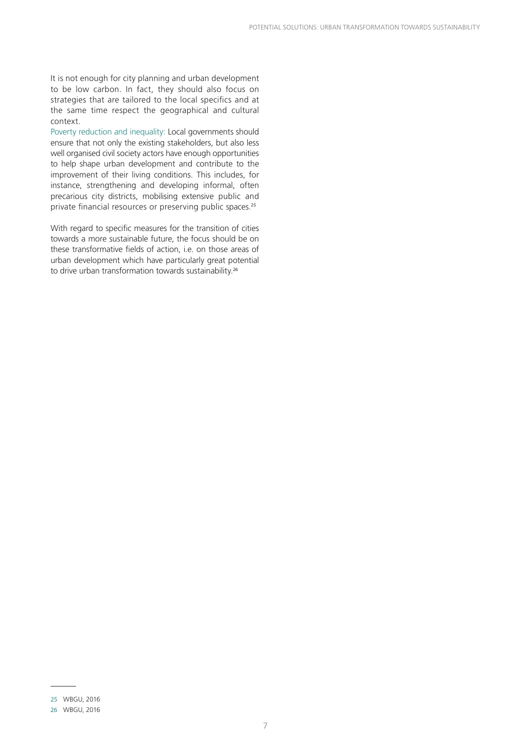It is not enough for city planning and urban development to be low carbon. In fact, they should also focus on strategies that are tailored to the local specifics and at the same time respect the geographical and cultural context.

Poverty reduction and inequality: Local governments should ensure that not only the existing stakeholders, but also less well organised civil society actors have enough opportunities to help shape urban development and contribute to the improvement of their living conditions. This includes, for instance, strengthening and developing informal, often precarious city districts, mobilising extensive public and private financial resources or preserving public spaces.<sup>25</sup>

With regard to specific measures for the transition of cities towards a more sustainable future, the focus should be on these transformative fields of action, i.e. on those areas of urban development which have particularly great potential to drive urban transformation towards sustainability.<sup>26</sup>

<sup>25</sup> WBGU, 2016

<sup>26</sup> WBGU, 2016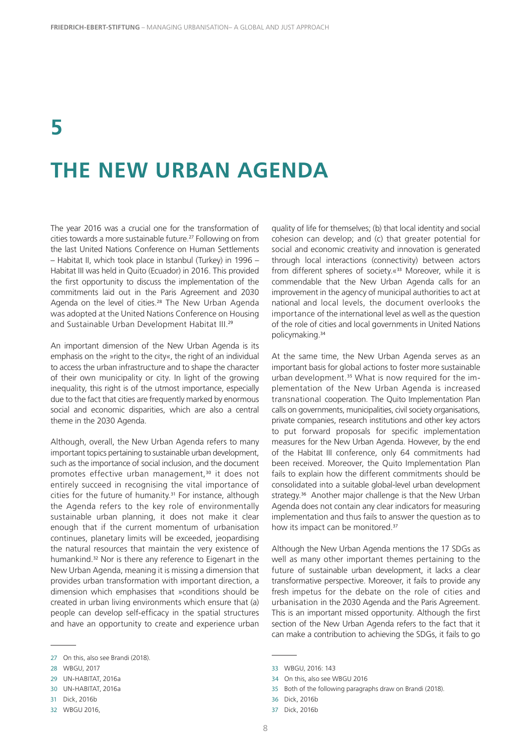# **THE NEW URBAN AGENDA**

The year 2016 was a crucial one for the transformation of cities towards a more sustainable future.<sup>27</sup> Following on from the last United Nations Conference on Human Settlements – Habitat II, which took place in Istanbul (Turkey) in 1996 – Habitat III was held in Quito (Ecuador) in 2016. This provided the first opportunity to discuss the implementation of the commitments laid out in the Paris Agreement and 2030 Agenda on the level of cities.<sup>28</sup> The New Urban Agenda was adopted at the United Nations Conference on Housing and Sustainable Urban Development Habitat III.<sup>29</sup>

An important dimension of the New Urban Agenda is its emphasis on the »right to the city«, the right of an individual to access the urban infrastructure and to shape the character of their own municipality or city. In light of the growing inequality, this right is of the utmost importance, especially due to the fact that cities are frequently marked by enormous social and economic disparities, which are also a central theme in the 2030 Agenda.

Although, overall, the New Urban Agenda refers to many important topics pertaining to sustainable urban development, such as the importance of social inclusion, and the document promotes effective urban management,<sup>30</sup> it does not entirely succeed in recognising the vital importance of cities for the future of humanity.<sup>31</sup> For instance, although the Agenda refers to the key role of environmentally sustainable urban planning, it does not make it clear enough that if the current momentum of urbanisation continues, planetary limits will be exceeded, jeopardising the natural resources that maintain the very existence of humankind.<sup>32</sup> Nor is there any reference to Eigenart in the New Urban Agenda, meaning it is missing a dimension that provides urban transformation with important direction, a dimension which emphasises that »conditions should be created in urban living environments which ensure that (a) people can develop self-efficacy in the spatial structures and have an opportunity to create and experience urban

32 WBGU 2016,

quality of life for themselves; (b) that local identity and social cohesion can develop; and (c) that greater potential for social and economic creativity and innovation is generated through local interactions (connectivity) between actors from different spheres of society.«<sup>33</sup> Moreover, while it is commendable that the New Urban Agenda calls for an improvement in the agency of municipal authorities to act at national and local levels, the document overlooks the importance of the international level as well as the question of the role of cities and local governments in United Nations policymaking.<sup>34</sup>

At the same time, the New Urban Agenda serves as an important basis for global actions to foster more sustainable urban development.<sup>35</sup> What is now required for the implementation of the New Urban Agenda is increased transnational cooperation. The Quito Implementation Plan calls on governments, municipalities, civil society organisations, private companies, research institutions and other key actors to put forward proposals for specific implementation measures for the New Urban Agenda. However, by the end of the Habitat III conference, only 64 commitments had been received. Moreover, the Quito Implementation Plan fails to explain how the different commitments should be consolidated into a suitable global-level urban development strategy.<sup>36</sup> Another major challenge is that the New Urban Agenda does not contain any clear indicators for measuring implementation and thus fails to answer the question as to how its impact can be monitored.<sup>37</sup>

Although the New Urban Agenda mentions the 17 SDGs as well as many other important themes pertaining to the future of sustainable urban development, it lacks a clear transformative perspective. Moreover, it fails to provide any fresh impetus for the debate on the role of cities and urbanisation in the 2030 Agenda and the Paris Agreement. This is an important missed opportunity. Although the first section of the New Urban Agenda refers to the fact that it can make a contribution to achieving the SDGs, it fails to go

<sup>27</sup> On this, also see Brandi (2018).

<sup>28</sup> WBGU, 2017

<sup>29</sup> UN-HABITAT, 2016a

<sup>30</sup> UN-HABITAT, 2016a

<sup>31</sup> Dick, 2016b

<sup>33</sup> WBGU, 2016: 143

<sup>34</sup> On this, also see WBGU 2016

<sup>35</sup> Both of the following paragraphs draw on Brandi (2018).

<sup>36</sup> Dick, 2016b

<sup>37</sup> Dick, 2016b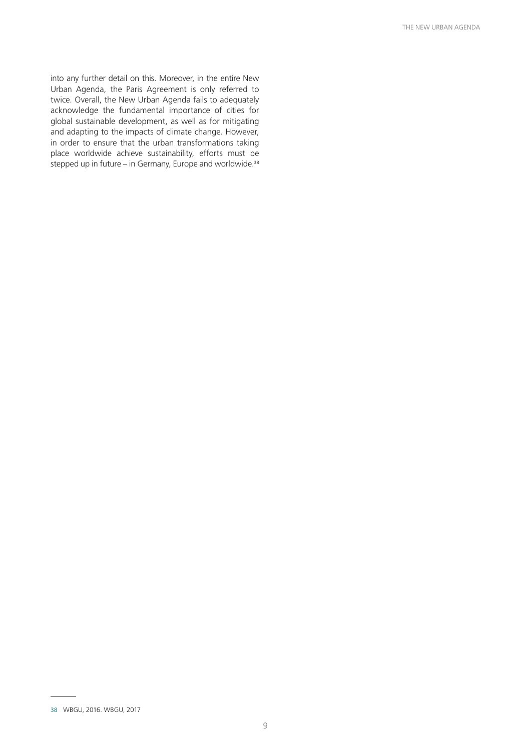into any further detail on this. Moreover, in the entire New Urban Agenda, the Paris Agreement is only referred to twice. Overall, the New Urban Agenda fails to adequately acknowledge the fundamental importance of cities for global sustainable development, as well as for mitigating and adapting to the impacts of climate change. However, in order to ensure that the urban transformations taking place worldwide achieve sustainability, efforts must be stepped up in future – in Germany, Europe and worldwide.<sup>38</sup>

<sup>38</sup> WBGU, 2016. WBGU, 2017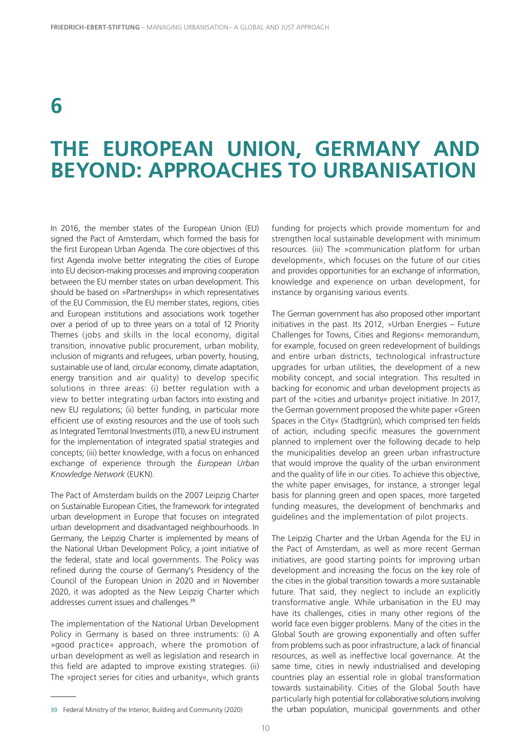# **THE EUROPEAN UNION, GERMANY AND BEYOND: APPROACHES TO URBANISATION**

In 2016, the member states of the European Union (EU) signed the Pact of Amsterdam, which formed the basis for the first European Urban Agenda. The core objectives of this first Agenda involve better integrating the cities of Europe into EU decision-making processes and improving cooperation between the EU member states on urban development. This should be based on »Partnerships« in which representatives of the EU Commission, the EU member states, regions, cities and European institutions and associations work together over a period of up to three years on a total of 12 Priority Themes (jobs and skills in the local economy, digital transition, innovative public procurement, urban mobility, inclusion of migrants and refugees, urban poverty, housing, sustainable use of land, circular economy, climate adaptation, energy transition and air quality) to develop specific solutions in three areas: (i) better regulation with a view to better integrating urban factors into existing and new EU regulations; (ii) better funding, in particular more efficient use of existing resources and the use of tools such as Integrated Territorial Investments (ITI), a new EU instrument for the implementation of integrated spatial strategies and concepts; (iii) better knowledge, with a focus on enhanced exchange of experience through the *European Urban Knowledge Network* (EUKN).

The Pact of Amsterdam builds on the 2007 Leipzig Charter on Sustainable European Cities, the framework for integrated urban development in Europe that focuses on integrated urban development and disadvantaged neighbourhoods. In Germany, the Leipzig Charter is implemented by means of the National Urban Development Policy, a joint initiative of the federal, state and local governments. The Policy was refined during the course of Germany's Presidency of the Council of the European Union in 2020 and in November 2020, it was adopted as the New Leipzig Charter which addresses current issues and challenges.<sup>39</sup>

The implementation of the National Urban Development Policy in Germany is based on three instruments: (i) A »good practice« approach, where the promotion of urban development as well as legislation and research in this field are adapted to improve existing strategies. (ii) The »project series for cities and urbanity«, which grants funding for projects which provide momentum for and strengthen local sustainable development with minimum resources. (iii) The »communication platform for urban development«, which focuses on the future of our cities and provides opportunities for an exchange of information, knowledge and experience on urban development, for instance by organising various events.

The German government has also proposed other important initiatives in the past. Its 2012, »Urban Energies – Future Challenges for Towns, Cities and Regions« memorandum, for example, focused on green redevelopment of buildings and entire urban districts, technological infrastructure upgrades for urban utilities, the development of a new mobility concept, and social integration. This resulted in backing for economic and urban development projects as part of the »cities and urbanity« project initiative. In 2017, the German government proposed the white paper »Green Spaces in the City« (Stadtgrün), which comprised ten fields of action, including specific measures the government planned to implement over the following decade to help the municipalities develop an green urban infrastructure that would improve the quality of the urban environment and the quality of life in our cities. To achieve this objective, the white paper envisages, for instance, a stronger legal basis for planning green and open spaces, more targeted funding measures, the development of benchmarks and guidelines and the implementation of pilot projects.

The Leipzig Charter and the Urban Agenda for the EU in the Pact of Amsterdam, as well as more recent German initiatives, are good starting points for improving urban development and increasing the focus on the key role of the cities in the global transition towards a more sustainable future. That said, they neglect to include an explicitly transformative angle. While urbanisation in the EU may have its challenges, cities in many other regions of the world face even bigger problems. Many of the cities in the Global South are growing exponentially and often suffer from problems such as poor infrastructure, a lack of financial resources, as well as ineffective local governance. At the same time, cities in newly industrialised and developing countries play an essential role in global transformation towards sustainability. Cities of the Global South have particularly high potential for collaborative solutions involving the urban population, municipal governments and other

<sup>39</sup> Federal Ministry of the Interior, Building and Community (2020)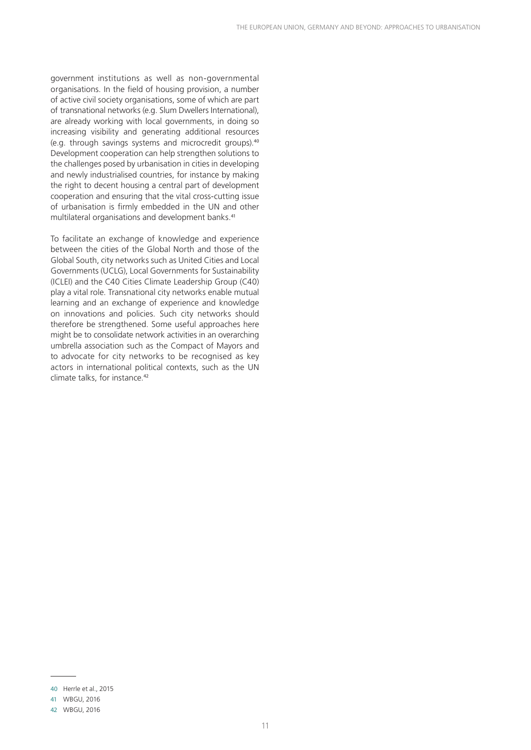government institutions as well as non-governmental organisations. In the field of housing provision, a number of active civil society organisations, some of which are part of transnational networks (e.g. Slum Dwellers International), are already working with local governments, in doing so increasing visibility and generating additional resources (e.g. through savings systems and microcredit groups).<sup>40</sup> Development cooperation can help strengthen solutions to the challenges posed by urbanisation in cities in developing and newly industrialised countries, for instance by making the right to decent housing a central part of development cooperation and ensuring that the vital cross-cutting issue of urbanisation is firmly embedded in the UN and other multilateral organisations and development banks.<sup>41</sup>

To facilitate an exchange of knowledge and experience between the cities of the Global North and those of the Global South, city networks such as United Cities and Local Governments (UCLG), Local Governments for Sustainability (ICLEI) and the C40 Cities Climate Leadership Group (C40) play a vital role. Transnational city networks enable mutual learning and an exchange of experience and knowledge on innovations and policies. Such city networks should therefore be strengthened. Some useful approaches here might be to consolidate network activities in an overarching umbrella association such as the Compact of Mayors and to advocate for city networks to be recognised as key actors in international political contexts, such as the UN climate talks, for instance.<sup>42</sup>

<sup>40</sup> Herrle et al., 2015

<sup>41</sup> WBGU, 2016

<sup>42</sup> WBGU, 2016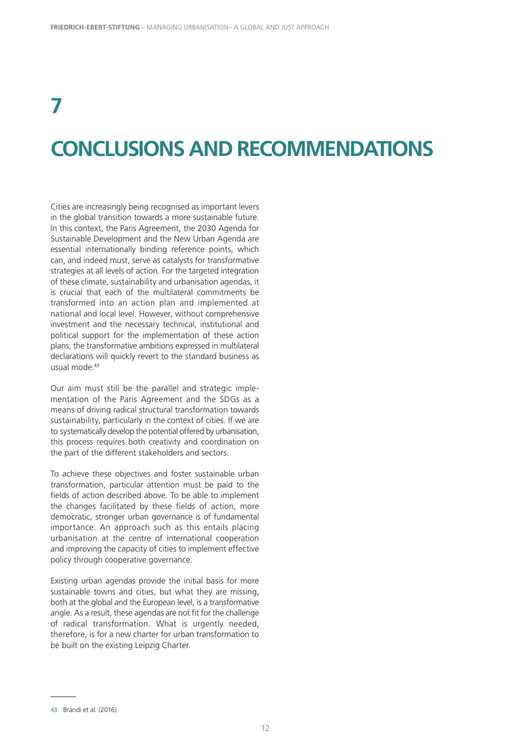# **CONCLUSIONS AND RECOMMENDATIONS**

Cities are increasingly being recognised as important levers in the global transition towards a more sustainable future. In this context, the Paris Agreement, the 2030 Agenda for Sustainable Development and the New Urban Agenda are essential internationally binding reference points, which can, and indeed must, serve as catalysts for transformative strategies at all levels of action. For the targeted integration of these climate, sustainability and urbanisation agendas, it is crucial that each of the multilateral commitments be transformed into an action plan and implemented at national and local level. However, without comprehensive investment and the necessary technical, institutional and political support for the implementation of these action plans, the transformative ambitions expressed in multilateral declarations will quickly revert to the standard business as usual mode.<sup>43</sup>

Our aim must still be the parallel and strategic implementation of the Paris Agreement and the SDGs as a means of driving radical structural transformation towards sustainability, particularly in the context of cities. If we are to systematically develop the potential offered by urbanisation, this process requires both creativity and coordination on the part of the different stakeholders and sectors.

To achieve these objectives and foster sustainable urban transformation, particular attention must be paid to the fields of action described above. To be able to implement the changes facilitated by these fields of action, more democratic, stronger urban governance is of fundamental importance. An approach such as this entails placing urbanisation at the centre of international cooperation and improving the capacity of cities to implement effective policy through cooperative governance.

Existing urban agendas provide the initial basis for more sustainable towns and cities, but what they are missing, both at the global and the European level, is a transformative angle. As a result, these agendas are not fit for the challenge of radical transformation. What is urgently needed, therefore, is for a new charter for urban transformation to be built on the existing Leipzig Charter.

<sup>43</sup> Brandi et al. (2016)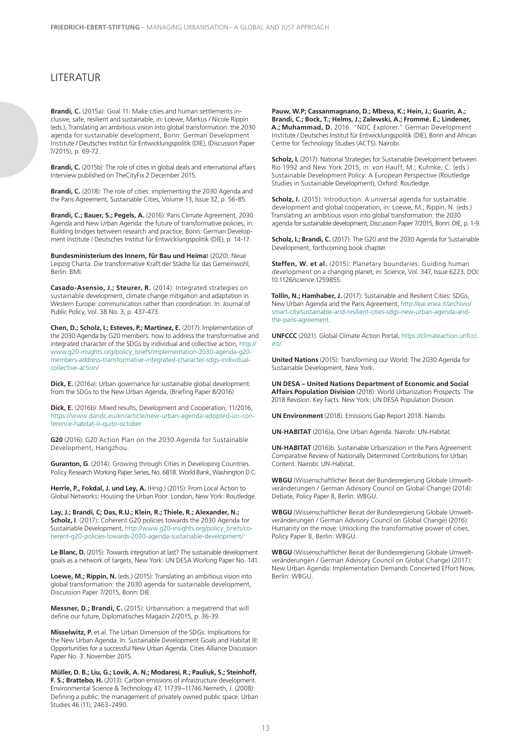#### **LITERATUR**

**Brandi, C.** (2015a): Goal 11: Make cities and human settlements inclusive, safe, resilient and sustainable, in: Loewe, Markus / Nicole Rippin (eds.), Translating an ambitious vision into global transformation: the 2030 agenda for sustainable development, Bonn: German Development Institute / Deutsches Institut für Entwicklungspolitik (DIE), (Discussion Paper 7/2015), p. 69-72.

**Brandi, C.** (2015b): The role of cities in global deals and international affairs Interview published on TheCityFix 2 December 2015.

**Brandi, C.** (2018): The role of cities: implementing the 2030 Agenda and the Paris Agreement, Sustainable Cities, Volume 13, Issue 32, p. 56-85.

**Brandi, C.; Bauer, S.; Pegels, A.** (2016): Paris Climate Agreement, 2030 Agenda and New Urban Agenda: the future of transformative policies, in: Building bridges between research and practice, Bonn: German Development Institute / Deutsches Institut für Entwicklungspolitik (DIE), p. 14-17.

**Bundesministerium des Innern, für Bau und Heima**t (2020): Neue Leipzig Charta. Die transformative Kraft der Städte für das Gemeinwohl, Berlin: BMI.

**Casado-Asensio, J.; Steurer, R.** (2014): Integrated strategies on sustainable development, climate change mitigation and adaptation in Western Europe: communication rather than coordination. In: Journal of Public Policy, Vol. 38 No. 3, p. 437-473.

**Chen, D.; Scholz, I.; Esteves, P.; Martinez, E.** (2017): Implementation of the 2030 Agenda by G20 members: how to address the transformative and integrated character of the SDGs by individual and collective action, http:// www.g20-insights.org/policy\_briefs/implementation-2030-agenda-g20 members-address-transformative-integrated-character-sdgs-individualcollective-action/

**Dick, E.** (2016a): Urban governance for sustainable global development: from the SDGs to the New Urban Agenda, (Briefing Paper 8/2016)

**Dick, E.** (2016b): Mixed results, Development and Cooperation, 11/2016, https://www.dandc.eu/en/article/new-urban-agenda-adopted-un-conference-habitat-iii-quito-october

**G20** (2016): G20 Action Plan on the 2030 Agenda for Sustainable Development, Hangzhou.

**Guranton, G**. (2014): Growing through Cities in Developing Countries. Policy Research Working Paper Series, No. 6818. World Bank, Washington D.C.

**Herrle, P., Fokdal, J. und Ley, A.** (Hrsg.) (2015): From Local Action to Global Networks: Housing the Urban Poor. London, New York: Routledge.

**Lay, J.; Brandi, C; Das, R.U.; Klein, R.; Thiele, R.; Alexander, N.; Scholz, I**. (2017): Coherent G20 policies towards the 2030 Agenda for Sustainable Development, http://www.g20-insights.org/policy\_briefs/coherent-g20-policies-towards-2030-agenda-sustainable-development/

Le Blanc, D. (2015): Towards integration at last? The sustainable development goals as a network of targets, New York: UN DESA Working Paper No. 141.

**Loewe, M.; Rippin, N.** (eds.) (2015): Translating an ambitious vision into global transformation: the 2030 agenda for sustainable development, Discussion Paper 7/2015, Bonn: DIE.

**Messner, D.; Brandi, C.** (2015): Urbanisation: a megatrend that will define our future, Diplomatisches Magazin 2/2015, p. 36-39.

**Misselwitz, P.** et al. The Urban Dimension of the SDGs: Implications for the New Urban Agenda. In: Sustainable Development Goals and Habitat III: Opportunities for a successful New Urban Agenda. Cities Alliance Discussion Paper No. 3. November 2015.

**Müller, D. B.; Liu, G.; Lovik, A. N.; Modaresi, R.; Pauliuk, S.; Steinhoff, F. S.; Brattebo, H.** (2013): Carbon emissions of infrastructure development. Environmental Science & Technology 47, 11739−11746.Nemeth, J. (2008): Defining a public: the management of privately owned public space. Urban Studies 46 (11), 2463–2490.

**Pauw, W.P; Cassanmagnano, D.; Mbeva, K.; Hein, J.; Guarin, A.; Brandi, C.; Bock, T.; Helms, J.; Zalewski, A.; Frommé. E.; Lindener, A.; Muhammad, D.** 2016. "NDC Explorer." German Development Institute / Deutsches Institut für Entwicklungspolitik (DIE), Bonn and African Centre for Technology Studies (ACTS). Nairobi.

**Scholz, I.** (2017): National Strategies for Sustainable Development between Rio 1992 and New York 2015, in: von Hauff, M.; Kuhnke, C. (eds.) Sustainable Development Policy: A European Perspective (Routledge Studies in Sustainable Development), Oxford: Routledge.

**Scholz, I.** (2015): Introduction: A universal agenda for sustainable development and global cooperation, in: Loewe, M.; Rippin, N. (eds.) Translating an ambitious vision into global transformation: the 2030 agenda for sustainable development, Discussion Paper 7/2015, Bonn: DIE, p. 1-9.

**Scholz, I.; Brandi, C.** (2017): The G20 and the 2030 Agenda for Sustainable Development, forthcoming book chapter.

**Steffen, W. et al.** (2015): Planetary boundaries: Guiding human development on a changing planet, in: Science, Vol. 347, Issue 6223, DOI: 10.1126/science.1259855.

**Tollin, N.; Hamhaber, J.** (2017): Sustainable and Resilient Cities: SDGs, New Urban Agenda and the Paris Agreement, http://eai.enea.it/archivio/ smart-city/sustainable-and-resilient-cities-sdgs-new-urban-agenda-andthe-paris-agreement.

**UNFCCC** (2021). Global Climate Action Portal, https://climateaction.unfccc. int/.

**United Nations** (2015): Transforming our World: The 2030 Agenda for Sustainable Development, New York.

**UN DESA – United Nations Department of Economic and Social Affairs Population Division** (2018): World Urbanization Prospects: The 2018 Revision. Key Facts. New York: UN DESA Population Division.

**UN Environment** (2018). Emissions Gap Report 2018. Nairobi.

**UN-HABITAT** (2016)a, One Urban Agenda. Nairobi: UN-Habitat.

**UN-HABITAT** (2016)b. Sustainable Urbanization in the Paris Agreement: Comparative Review of Nationally Determined Contributions for Urban Content. Nairobi: UN-Habitat.

**WBGU** (Wissenschaftlicher Beirat der Bundesregierung Globale Umweltveränderungen / German Advisory Council on Global Change) (2014): Debate, Policy Paper 8, Berlin: WBGU.

**WBGU** (Wissenschaftlicher Beirat der Bundesregierung Globale Umweltveränderungen / German Advisory Council on Global Change) (2016): Humanity on the move: Unlocking the transformative power of cities, Policy Paper 8, Berlin: WBGU.

**WBGU** (Wissenschaftlicher Beirat der Bundesregierung Globale Umweltveränderungen / German Advisory Council on Global Change) (2017): New Urban Agenda: Implementation Demands Concerted Effort Now, Berlin: WBGU.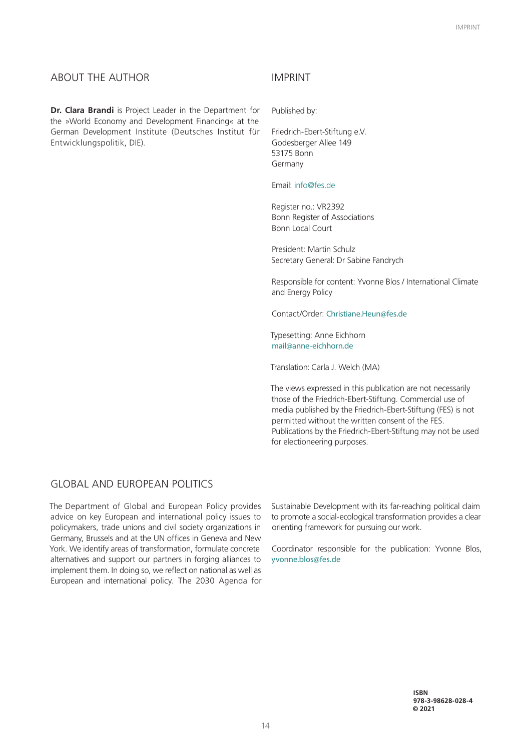#### ABOUT THE AUTHOR

**Dr. Clara Brandi** is Project Leader in the Department for the »World Economy and Development Financing« at the German Development Institute (Deutsches Institut für Entwicklungspolitik, DIE).

#### IMPRINT

Published by:

Friedrich-Ebert-Stiftung e.V. Godesberger Allee 149 53175 Bonn Germany

Email: info@fes.de

Register no.: VR2392 Bonn Register of Associations Bonn Local Court

President: Martin Schulz Secretary General: Dr Sabine Fandrych

Responsible for content: Yvonne Blos / International Climate and Energy Policy

Contact/Order: Christiane.Heun@fes.de

Typesetting: Anne Eichhorn mail@anne-eichhorn.de

Translation: Carla J. Welch (MA)

The views expressed in this publication are not necessarily those of the Friedrich-Ebert-Stiftung. Commercial use of media published by the Friedrich-Ebert-Stiftung (FES) is not permitted without the written consent of the FES. Publications by the Friedrich-Ebert-Stiftung may not be used for electioneering purposes.

#### **GLOBAL AND EUROPEAN POLITICS**

The Department of Global and European Policy provides advice on key European and international policy issues to policymakers, trade unions and civil society organizations in Germany, Brussels and at the UN offices in Geneva and New York. We identify areas of transformation, formulate concrete alternatives and support our partners in forging alliances to implement them. In doing so, we reflect on national as well as European and international policy. The 2030 Agenda for Sustainable Development with its far-reaching political claim to promote a social-ecological transformation provides a clear orienting framework for pursuing our work.

Coordinator responsible for the publication: Yvonne Blos, yvonne.blos@fes.de